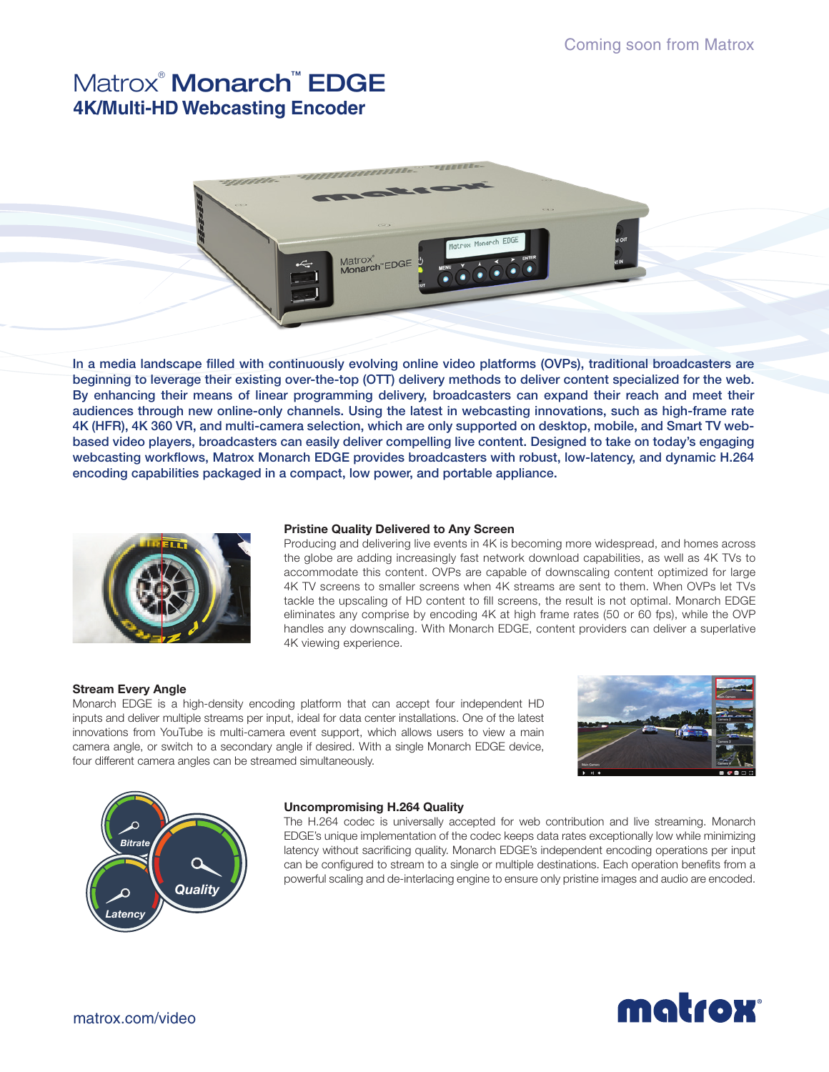# Matrox® Monarch™ EDGE **4K/Multi-HD Webcasting Encoder**



In a media landscape filled with continuously evolving online video platforms (OVPs), traditional broadcasters are beginning to leverage their existing over-the-top (OTT) delivery methods to deliver content specialized for the web. By enhancing their means of linear programming delivery, broadcasters can expand their reach and meet their audiences through new online-only channels. Using the latest in webcasting innovations, such as high-frame rate 4K (HFR), 4K 360 VR, and multi-camera selection, which are only supported on desktop, mobile, and Smart TV webbased video players, broadcasters can easily deliver compelling live content. Designed to take on today's engaging webcasting workflows, Matrox Monarch EDGE provides broadcasters with robust, low-latency, and dynamic H.264 encoding capabilities packaged in a compact, low power, and portable appliance.



#### **Pristine Quality Delivered to Any Screen**

Producing and delivering live events in 4K is becoming more widespread, and homes across the globe are adding increasingly fast network download capabilities, as well as 4K TVs to accommodate this content. OVPs are capable of downscaling content optimized for large 4K TV screens to smaller screens when 4K streams are sent to them. When OVPs let TVs tackle the upscaling of HD content to fill screens, the result is not optimal. Monarch EDGE eliminates any comprise by encoding 4K at high frame rates (50 or 60 fps), while the OVP handles any downscaling. With Monarch EDGE, content providers can deliver a superlative 4K viewing experience.

### **Stream Every Angle**

Monarch EDGE is a high-density encoding platform that can accept four independent HD inputs and deliver multiple streams per input, ideal for data center installations. One of the latest innovations from YouTube is multi-camera event support, which allows users to view a main camera angle, or switch to a secondary angle if desired. With a single Monarch EDGE device, four different camera angles can be streamed simultaneously.





#### **Uncompromising H.264 Quality**

The H.264 codec is universally accepted for web contribution and live streaming. Monarch EDGE's unique implementation of the codec keeps data rates exceptionally low while minimizing latency without sacrificing quality. Monarch EDGE's independent encoding operations per input can be configured to stream to a single or multiple destinations. Each operation benefits from a powerful scaling and de-interlacing engine to ensure only pristine images and audio are encoded.